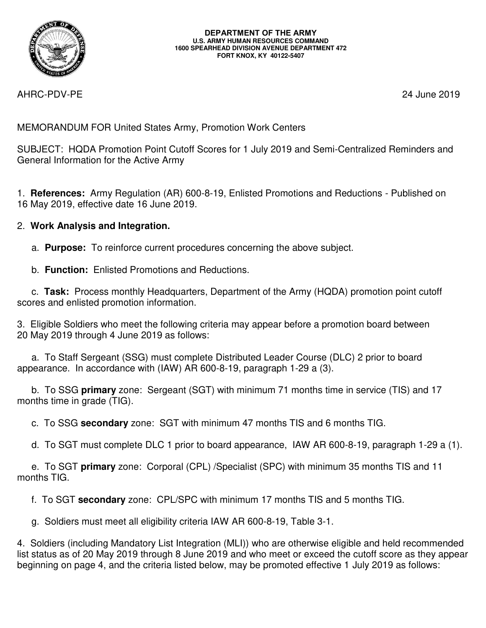

AHRC-PDV-PE 24 June 2019

MEMORANDUM FOR United States Army, Promotion Work Centers

SUBJECT: HQDA Promotion Point Cutoff Scores for 1 July 2019 and Semi-Centralized Reminders and General Information for the Active Army

1. **References:** Army Regulation (AR) 600-8-19, Enlisted Promotions and Reductions - Published on 16 May 2019, effective date 16 June 2019.

# 2. **Work Analysis and Integration.**

- a. **Purpose:** To reinforce current procedures concerning the above subject.
- b. **Function:** Enlisted Promotions and Reductions.

 c. **Task:** Process monthly Headquarters, Department of the Army (HQDA) promotion point cutoff scores and enlisted promotion information.

3. Eligible Soldiers who meet the following criteria may appear before a promotion board between 20 May 2019 through 4 June 2019 as follows:

 a. To Staff Sergeant (SSG) must complete Distributed Leader Course (DLC) 2 prior to board appearance. In accordance with (IAW) AR 600-8-19, paragraph 1-29 a (3).

 b. To SSG **primary** zone: Sergeant (SGT) with minimum 71 months time in service (TIS) and 17 months time in grade (TIG).

c. To SSG **secondary** zone: SGT with minimum 47 months TIS and 6 months TIG.

d. To SGT must complete DLC 1 prior to board appearance, IAW AR 600-8-19, paragraph 1-29 a (1).

 e. To SGT **primary** zone: Corporal (CPL) /Specialist (SPC) with minimum 35 months TIS and 11 months TIG.

f. To SGT **secondary** zone: CPL/SPC with minimum 17 months TIS and 5 months TIG.

g. Soldiers must meet all eligibility criteria IAW AR 600-8-19, Table 3-1.

4. Soldiers (including Mandatory List Integration (MLI)) who are otherwise eligible and held recommended list status as of 20 May 2019 through 8 June 2019 and who meet or exceed the cutoff score as they appear beginning on page 4, and the criteria listed below, may be promoted effective 1 July 2019 as follows: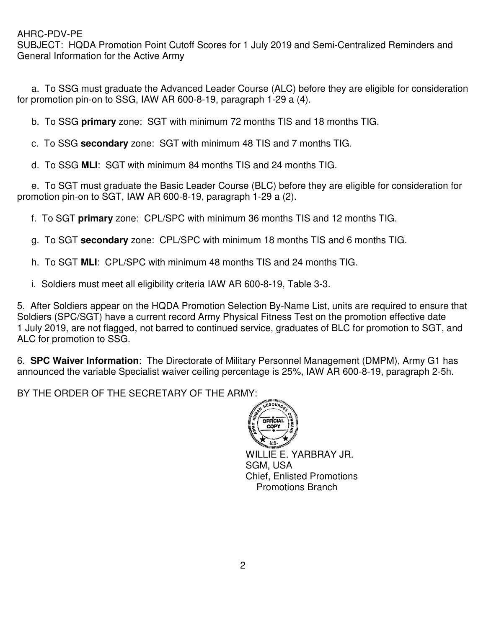SUBJECT: HQDA Promotion Point Cutoff Scores for 1 July 2019 and Semi-Centralized Reminders and General Information for the Active Army

 a. To SSG must graduate the Advanced Leader Course (ALC) before they are eligible for consideration for promotion pin-on to SSG, IAW AR 600-8-19, paragraph 1-29 a (4).

b. To SSG **primary** zone: SGT with minimum 72 months TIS and 18 months TIG.

c. To SSG **secondary** zone: SGT with minimum 48 TIS and 7 months TIG.

d. To SSG **MLI**: SGT with minimum 84 months TIS and 24 months TIG.

 e. To SGT must graduate the Basic Leader Course (BLC) before they are eligible for consideration for promotion pin-on to SGT, IAW AR 600-8-19, paragraph 1-29 a (2).

f. To SGT **primary** zone: CPL/SPC with minimum 36 months TIS and 12 months TIG.

g. To SGT **secondary** zone: CPL/SPC with minimum 18 months TIS and 6 months TIG.

h. To SGT **MLI**: CPL/SPC with minimum 48 months TIS and 24 months TIG.

i. Soldiers must meet all eligibility criteria IAW AR 600-8-19, Table 3-3.

5. After Soldiers appear on the HQDA Promotion Selection By-Name List, units are required to ensure that Soldiers (SPC/SGT) have a current record Army Physical Fitness Test on the promotion effective date 1 July 2019, are not flagged, not barred to continued service, graduates of BLC for promotion to SGT, and ALC for promotion to SSG.

6. **SPC Waiver Information**: The Directorate of Military Personnel Management (DMPM), Army G1 has announced the variable Specialist waiver ceiling percentage is 25%, IAW AR 600-8-19, paragraph 2-5h.

BY THE ORDER OF THE SECRETARY OF THE ARMY:



WILLIE E. YARBRAY JR. SGM, USA Chief, Enlisted Promotions Promotions Branch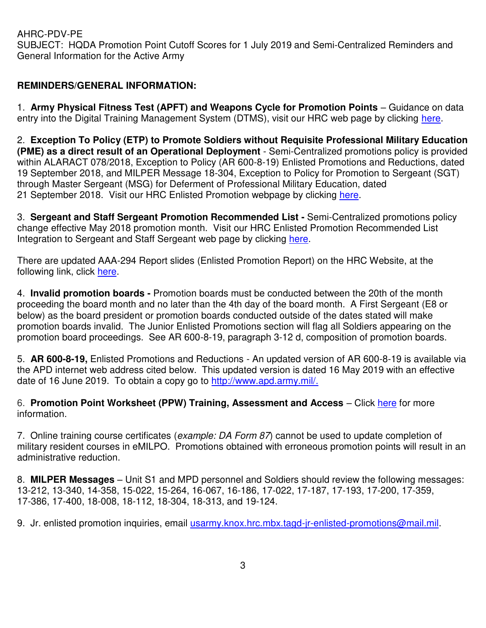AHRC-PDV-PE SUBJECT: HQDA Promotion Point Cutoff Scores for 1 July 2019 and Semi-Centralized Reminders and General Information for the Active Army

## **REMINDERS/GENERAL INFORMATION:**

1. **Army Physical Fitness Test (APFT) and Weapons Cycle for Promotion Points** – Guidance on data entry into the Digital Training Management System (DTMS), visit our HRC web page by clicking [here.](https://www.hrc.army.mil/content/21065)

2. **Exception To Policy (ETP) to Promote Soldiers without Requisite Professional Military Education (PME) as a direct result of an Operational Deployment** - Semi-Centralized promotions policy is provided within ALARACT 078/2018, Exception to Policy (AR 600-8-19) Enlisted Promotions and Reductions, dated 19 September 2018, and MILPER Message 18-304, Exception to Policy for Promotion to Sergeant (SGT) through Master Sergeant (MSG) for Deferment of Professional Military Education, dated 21 September 2018. Visit our HRC Enlisted Promotion webpage by clicking [here.](https://www.hrc.army.mil/content/19278)

3. **Sergeant and Staff Sergeant Promotion Recommended List -** Semi-Centralized promotions policy change effective May 2018 promotion month. Visit our HRC Enlisted Promotion Recommended List Integration to Sergeant and Staff Sergeant web page by clicking [here.](https://www.hrc.army.mil/content/18797)

There are updated AAA-294 Report slides (Enlisted Promotion Report) on the HRC Website, at the following link, click [here.](https://www.hrc.army.mil/asset/18054)

4. **Invalid promotion boards -** Promotion boards must be conducted between the 20th of the month proceeding the board month and no later than the 4th day of the board month. A First Sergeant (E8 or below) as the board president or promotion boards conducted outside of the dates stated will make promotion boards invalid. The Junior Enlisted Promotions section will flag all Soldiers appearing on the promotion board proceedings. See AR 600-8-19, paragraph 3-12 d, composition of promotion boards.

5. **AR 600-8-19,** Enlisted Promotions and Reductions - An updated version of AR 600-8-19 is available via the APD internet web address cited below. This updated version is dated 16 May 2019 with an effective date of 16 June 2019. To obtain a copy go to [http://www.apd.army.mil/.](http://www.apd.army.mil/)

6. **Promotion Point Worksheet (PPW) Training, Assessment and Access** – Click [here](https://www.hrc.army.mil/content/Promotion%20Point%20Worksheet%20PPW%20Training%20Assessment%20and%20Access) for more information.

7. Online training course certificates (example: DA Form 87) cannot be used to update completion of military resident courses in eMILPO. Promotions obtained with erroneous promotion points will result in an administrative reduction.

8. **MILPER Messages** – Unit S1 and MPD personnel and Soldiers should review the following messages: 13-212, 13-340, 14-358, 15-022, 15-264, 16-067, 16-186, 17-022, 17-187, 17-193, 17-200, 17-359, 17-386, 17-400, 18-008, 18-112, 18-304, 18-313, and 19-124.

9. Jr. enlisted promotion inquiries, email [usarmy.knox.hrc.mbx.tagd-jr-enlisted-promotions@mail.mil.](mailto:usarmy.knox.hrc.mbx.tagd-jr-enlisted-promotions@mail.mil)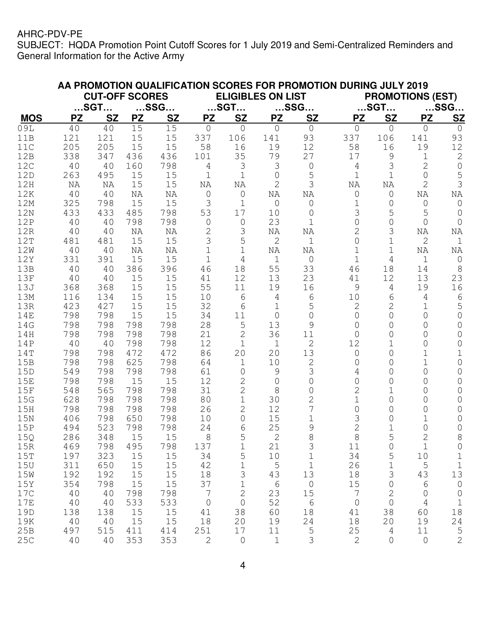|            |                       |           |           | AA PROMOTION QUALIFICATION SCORES FOR PROMOTION DURING JULY 2019 |                          |                |             |                |                  |                         |                |                |  |
|------------|-----------------------|-----------|-----------|------------------------------------------------------------------|--------------------------|----------------|-------------|----------------|------------------|-------------------------|----------------|----------------|--|
|            | <b>CUT-OFF SCORES</b> |           |           |                                                                  | <b>ELIGIBLES ON LIST</b> |                |             |                |                  | <b>PROMOTIONS (EST)</b> |                |                |  |
|            | $$ SGT $$             |           | $$ SSG $$ |                                                                  | $$ SGT $$                |                | $$ SSG $$   |                | $$ SGT $$        |                         | $$ SSG $$      |                |  |
| <b>MOS</b> | <b>PZ</b>             | <b>SZ</b> | <b>PZ</b> | <b>SZ</b>                                                        | <b>PZ</b>                | <b>SZ</b>      | <b>PZ</b>   | <b>SZ</b>      | <b>PZ</b>        | <b>SZ</b>               | <b>PZ</b>      | <u>SZ</u>      |  |
| 09L        | 40                    | 40        | 15        | 15                                                               | $\mathbf 0$              | $\overline{0}$ | $\mathbf 0$ | $\circ$        | $\overline{0}$   | $\circ$                 | 0              | $\overline{0}$ |  |
| 11B        | 121                   | 121       | 15        | 15                                                               | 337                      | 106            | 141         | 93             | 337              | 106                     | 141            | 93             |  |
| 11C        | 205                   | 205       | 15        | 15                                                               | 58                       | 16             | 19          | 12             | 58               | 16                      | 19             | 12             |  |
| 12B        | 338                   | 347       | 436       | 436                                                              | 101                      | 35             | 79          | 27             | 17               | 9                       | 1              | $\mathbf 2$    |  |
| 12C        | 40                    | 40        | 160       | 798                                                              | 4                        | 3              | 3           | 0              | 4                | 3                       | $\overline{2}$ | $\mathbf 0$    |  |
| 12D        | 263                   | 495       | 15        | 15                                                               | $\mathbf 1$              | $\mathbf 1$    | 0           | 5              | $\mathbf 1$      | $\mathbf 1$             | 0              | 5              |  |
| 12H        | NA                    | ΝA        | 15        | 15                                                               | NA                       | ΝA             | 2           | 3              | NA               | NA                      | 2              | 3              |  |
| 12K        | 40                    | 40        | NA        | NA                                                               | $\circ$                  | 0              | NA          | ΝA             | 0                | $\circ$                 | NA             | NA             |  |
| 12M        | 325                   | 798       | 15        | 15                                                               | 3                        | $\mathbf{1}$   | 0           | $\mathbf 0$    | $\mathbf 1$      | $\circ$                 | 0              | $\circ$        |  |
| 12N        | 433                   | 433       | 485       | 798                                                              | 53                       | 17             | 10          | 0              | 3                | 5                       | 5              | 0              |  |
| 12P        | 40                    | 40        | 798       | 798                                                              | $\overline{0}$           | $\circ$        | 23          | 1              | 0                | $\overline{0}$          | 0              | $\Omega$       |  |
| 12R        | 40                    | 40        | ΝA        | ΝA                                                               | 2                        | 3              | ΝA          | ΝA             | 2                | 3                       | NA             | NA             |  |
| 12T        | 481                   | 481       | 15        | 15                                                               | 3                        | 5              | 2           | $\mathbf 1$    | 0                | $\mathbf 1$             | 2              | $1\,$          |  |
| 12W        | 40                    | 40        | NA        | NA                                                               | $\overline{1}$           | 1              | NA          | NA             |                  | 1                       | NA             | ΝA             |  |
| 12Y        | 331                   | 391       | 15        | 15                                                               | $\mathbf 1$              | $\overline{4}$ | 1           | $\mathbf 0$    | $\mathbf{1}$     | $\overline{4}$          | 1              | $\mathbf 0$    |  |
| 13B        | 40                    | 40        | 386       | 396                                                              | 46                       | 18             | 55          | 33             | 46               | 18                      | 14             | 8              |  |
| 13F        | 40                    | 40        | 15        | 15                                                               | 41                       | 12             | 13          | 23             | 41               | 12                      | 13             | 23             |  |
| 13J        | 368                   | 368       | 15        | 15                                                               | 55                       | 11             | 19          | 16             | 9                | 4                       | 19             | 16             |  |
| 13M        | 116                   | 134       | 15        | 15                                                               | 10                       | 6              | 4           | 6              | 10               | 6                       | 4              | 6              |  |
| 13R        | 423                   | 427       | 15        | 15                                                               | 32                       | 6              | 1           | 5              | 2                | $\mathbf{2}$            | 1              | 5              |  |
| <b>14E</b> | 798                   | 798       | 15        | 15                                                               | 34                       | 11             | 0           | $\Omega$       | 0                | 0                       | 0              | $\overline{0}$ |  |
| 14G        | 798                   | 798       | 798       | 798                                                              | 28                       | 5              | 13          | 9              | 0                | 0                       | 0              | 0              |  |
| 14H        | 798                   | 798       | 798       | 798                                                              | 21                       | $\overline{c}$ | 36          | 11             | 0                | 0                       | 0              | $\Omega$       |  |
| 14P        | 40                    | 40        | 798       | 798                                                              | 12                       | $\mathbf{1}$   | 1           | 2              | 12               | 1                       | 0              | 0              |  |
| 14T        | 798                   | 798       | 472       | 472                                                              | 86                       | 20             | 20          | 13             | 0                | 0                       | 1              | 1              |  |
| 15B        | 798                   | 798       | 625       | 798                                                              | 64                       | 1              | 10          | 2              | 0                | 0                       | $\mathbf 1$    | $\mathbf 0$    |  |
| 15D        | 549                   | 798       | 798       | 798                                                              | 61                       | $\overline{0}$ | 9           | 3              | 4                | 0                       | 0              | 0              |  |
| 15E        | 798                   | 798       | 15        | 15                                                               | 12                       | $\overline{2}$ | $\mathbf 0$ | 0              | 0                | 0                       | 0              | 0              |  |
| 15F        | 548                   | 565       | 798       | 798                                                              | 31                       | $\overline{2}$ | 8           | 0              | 2                |                         | 0              | 0              |  |
| 15G        | 628                   | 798       | 798       | 798                                                              | 80                       | $\mathbf 1$    | 30          | $\overline{2}$ | $\mathbf 1$      | $\circ$                 | 0              | $\mathsf{O}$   |  |
| 15H        | 798                   | 798       | 798       | 798                                                              | 26                       | $\overline{2}$ | 12          | 7              | 0                | 0                       | 0              | $\mathsf O$    |  |
| 15N        | 406                   | 798       | 650       | 798                                                              | 10                       | $\overline{O}$ | 15          | $\mathbf 1$    | 3                | 0                       | 1              | $\circ$        |  |
| 15P        | 494                   | 523       | 798       | 798                                                              | 24                       | 6              | 25          | 9              | $\overline{2}$   | 1                       | 0              | 0              |  |
| 15Q        | 286                   | 348       | 15        | 15                                                               | $\,8\,$                  | 5              | $\sqrt{2}$  | $\,8\,$        | 8                | 5                       | $\sqrt{2}$     | 8              |  |
| 15R        | 469                   | 798       | 495       | 798                                                              | 137                      | $\mathbf 1$    | 21          | 3              | 11               | $\circledcirc$          | $1\,$          | $\circ$        |  |
| 15T        | 197                   | 323       | 15        | 15                                                               | 34                       | 5              | 10          | 1              | 34               | 5                       | 10             | $1\,$          |  |
| 15U        | 311                   | 650       | 15        | 15                                                               | 42                       | $\mathbf 1$    | 5           | $\mathbf 1$    | 26               | $1\,$                   | $\overline{5}$ | $\mathbbm{1}$  |  |
| 15W        | 192                   | 192       | 15        | 15                                                               | 18                       | 3              | 43          | 13             | 18               | 3                       | 43             | 13             |  |
| 15Y        | 354                   | 798       | 15        | 15                                                               | 37                       | $\mathbf 1$    | $6\,$       | $\circ$        | 15               | $\mathbf 0$             | 6              | $\circledcirc$ |  |
| 17C        | 40                    | 40        | 798       | 798                                                              | $\overline{7}$           | $\overline{c}$ | 23          | 15             | $\boldsymbol{7}$ | $\mathbf{2}$            | 0              | $\circledcirc$ |  |
| 17E        | 40                    | 40        | 533       | 533                                                              | $\circledcirc$           | $\mathbf 0$    | 52          | $6\,$          | $\mathbf 0$      | $\mathbf 0$             | 4              | $1\,$          |  |
| 19D        | 138                   | 138       | 15        | 15                                                               | 41                       | 38             | 60          | 18             | 41               | 38                      | 60             | $18\,$         |  |
| 19K        | 40                    | 40        | 15        | 15                                                               | 18                       | 20             | 19          | 24             | 18               | 20                      | 19             | 24             |  |
| 25B        | 497                   | 515       | 411       | 414                                                              | 251                      | 17             | 11          | $\mathsf S$    | 25               | $\overline{4}$          | 11             |                |  |
| 25C        | 40                    | 40        | 353       | 353                                                              | $\mathbf{2}$             | $\circ$        | $\mathbf 1$ | 3              | 2                | $\mathsf{O}$            | $\circ$        | $\frac{5}{2}$  |  |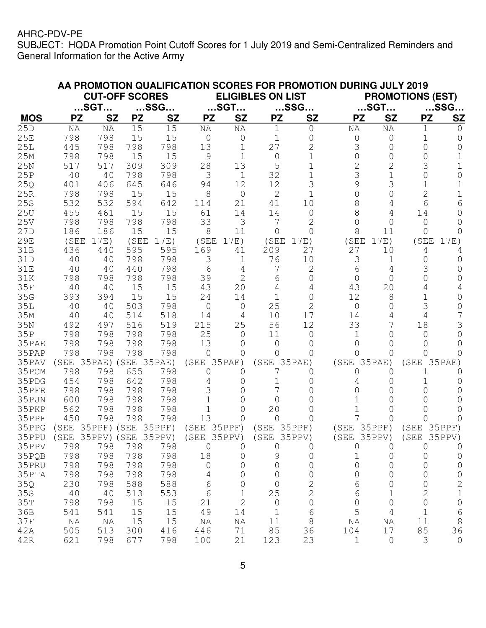|            | AA PROMOTION QUALIFICATION SCORES FOR PROMOTION DURING JULY 2019 |                       |           |           |                |                |                          |              |             |                         |                |              |  |  |
|------------|------------------------------------------------------------------|-----------------------|-----------|-----------|----------------|----------------|--------------------------|--------------|-------------|-------------------------|----------------|--------------|--|--|
|            |                                                                  | <b>CUT-OFF SCORES</b> |           |           |                |                | <b>ELIGIBLES ON LIST</b> |              |             | <b>PROMOTIONS (EST)</b> |                |              |  |  |
| $$ SGT $$  |                                                                  |                       |           | $$ SSG $$ |                | $$ SGT $$      |                          | $$ SSG $$    |             | $$ SGT $$               | $$ SSG $$      |              |  |  |
| <b>MOS</b> | <b>PZ</b>                                                        | <b>SZ</b>             | <b>PZ</b> | <b>SZ</b> | <b>PZ</b>      | <b>SZ</b>      | <b>PZ</b>                | <b>SZ</b>    | <b>PZ</b>   | <b>SZ</b>               | <b>PZ</b>      | <u>SZ</u>    |  |  |
| 25D        | NA                                                               | NA                    | 15        | 15        | NA             | NA             | 1                        | $\circ$      | NA          | NA                      | 1              | 0            |  |  |
| 25E        | 798                                                              | 798                   | 15        | 15        | $\overline{0}$ | 0              | 1                        | 0            | 0           | 0                       | 1              | 0            |  |  |
| 25L        | 445                                                              | 798                   | 798       | 798       | 13             | 1              | 27                       | 2            | 3           | $\circ$                 | 0              | 0            |  |  |
| 25M        | 798                                                              | 798                   | 15        | 15        | 9              | 1              | 0                        |              | 0           | 0                       | 0              |              |  |  |
| 25N        | 517                                                              | 517                   | 309       | 309       | 28             | 13             | 5                        |              | 2           | 2                       | 3              |              |  |  |
| 25P        | 40                                                               | 40                    | 798       | 798       | 3              | $\mathbf 1$    | 32                       |              | 3           | 1                       | 0              |              |  |  |
| 25Q        | 401                                                              | 406                   | 645       | 646       | 94             | 12             | 12                       | 3            | 9           | 3                       |                |              |  |  |
| 25R        | 798                                                              | 798                   | 15        | 15        | 8              | $\circ$        | 2                        | 1            |             | 0                       | 2              |              |  |  |
| 25S        | 532                                                              | 532                   | 594       | 642       | 114            | 21             | 41                       | 10           |             | 4                       | 6              | 6            |  |  |
| 25U        | 455                                                              | 461                   | 15        | 15        | 61             | 14             | 14                       | 0            |             | 4                       | 14             | ∩            |  |  |
| 25V        | 798                                                              | 798                   | 798       | 798       | 33             | 3              | 7                        |              |             | 0                       | 0              | O            |  |  |
| 27D        | 186                                                              | 186                   | 15        | 15        | 8              | 11             | 0                        | ∩            | 8           | 11                      | 0              |              |  |  |
| 29E        | (SEE                                                             | 17E)                  | (SEE      | 17E)      | (SEE)          | 17E)           | (SEE                     | 17E)         | (SEE)       | 17E)                    | (SEE           | 17E)         |  |  |
| 31B        | 436                                                              | 440                   | 595       | 595       | 169            | 41             | 209                      | 27           | 27          | 10                      | 4              | 4            |  |  |
| 31D        | 40                                                               | 40                    | 798       | 798       | 3              | 1              | 76                       | 10           | 3           | 1                       | 0              | O            |  |  |
| 31E        | 40                                                               | 40                    | 440       | 798       | 6              | 4              | 7                        | 2            | 6           | 4                       | 3              | O            |  |  |
| 31K        | 798                                                              | 798                   | 798       | 798       | 39             | 2              | 6                        | 0            | 0           | 0                       | 0              | O            |  |  |
| 35F        | 40                                                               | 40                    | 15        | 15        | 43             | 20             | 4                        |              | 43          | 20                      | 4              |              |  |  |
| 35G        | 393                                                              | 394                   | 15        | 15        | 24             | 14             | 1                        | 0            | 12          | 8                       |                | O            |  |  |
| 35L        | 40                                                               | 40                    | 503       | 798       | 0              | 0              | 25                       |              | 0           | 0                       | 3              | O            |  |  |
| 35M        | 40                                                               | 40                    | 514       | 518       | 14             | 4              | 10                       | 17           | 14          | 4                       | 4              |              |  |  |
| 35N        | 492                                                              | 497                   | 516       | 519       | 215            | 25             | 56                       | 12           | 33          | 7                       | 18             | 3            |  |  |
| 35P        | 798                                                              | 798                   | 798       | 798       | 25             | $\Omega$       | 11                       | O            |             | Ω                       | O              | 0            |  |  |
| 35PAE      | 798                                                              | 798                   | 798       | 798       | 13             | 0              | 0                        |              |             | $\left( \right)$        | O              | 0            |  |  |
| 35PAP      | 798                                                              | 798                   | 798       | 798       | ∩              | 0              | Ω                        |              |             | Ω                       | ∩              | O            |  |  |
| 35PAV      | (SEE 35PAE) (SEE 35PAE)                                          |                       |           |           | (SEE           | 35PAE)         | (SEE                     | 35PAE)       | (SEE        | 35PAE)                  | (SEE           | $35$ PAE)    |  |  |
| 35PCM      | 798                                                              | 798                   | 655       | 798       | 0              | 0              |                          |              | O           | 0                       |                | O            |  |  |
| 35PDG      | 454                                                              | 798                   | 642       | 798       | 4              | 0              | 1                        |              |             | Ω                       |                | $\cup$       |  |  |
| 35PFR      | 798                                                              | 798                   | 798       | 798       | 3              | 0              | 7                        |              |             |                         | 0              | $\cup$       |  |  |
| 35PJN      | 600                                                              | 798                   | 798       | 798       |                | 0              | $\Omega$                 |              |             |                         |                |              |  |  |
| 35PKP      | 562                                                              | 798                   | 798       | 798       |                | 0              | 20                       |              |             |                         | 0              |              |  |  |
| 35PPF      | 450                                                              | 798                   | 798       | 798       | 13             | 0              | 0                        |              |             | 0                       | O              | 0            |  |  |
| 35PPG      | (SEE                                                             | 35PPF) (SEE           |           | 35PPF)    | (SEE           | $35$ PPF)      | (SEE                     | 35PPF)       | (SEE        | $35$ PPF)               | (SEE)          | $35$ PPF)    |  |  |
| 35PPU      | (SEE 35PPV) (SEE 35PPV)                                          |                       |           |           | (SEE 35PPV)    |                | (SEE 35PPV)              |              | (SEE 35PPV) |                         | (SEE 35PPV)    |              |  |  |
| 35PPV      | 798                                                              | 798                   | 798       | 798       | $\circ$        | 0              | 0                        | 0            | 0           | 0                       | 0              | 0            |  |  |
| 35PQB      | 798                                                              | 798                   | 798       | 798       | 18             | 0              | 9                        | $\mathsf{O}$ | $\mathbf 1$ | $\mathbf 0$             | 0              | 0            |  |  |
| 35PRU      | 798                                                              | 798                   | 798       | 798       | $\mathsf{O}$   | 0              | 0                        | 0            | 0           | 0                       | 0              | 0            |  |  |
| 35PTA      | 798                                                              | 798                   | 798       | 798       | 4              | 0              | 0                        | 0            | 0           | 0                       | 0              | 0            |  |  |
| 35Q        | 230                                                              | 798                   | 588       | 588       | $\sqrt{6}$     | 0              | 0                        | $\mathbf{2}$ | 6           | 0                       | 0              | $\mathbf{2}$ |  |  |
| 35S        | 40                                                               | 40                    | 513       | 553       | 6              | 1              | 25                       | $\sqrt{2}$   | 6           | $\mathbf 1$             | $\overline{c}$ | $\mathbf 1$  |  |  |
| 35T        | 798                                                              | 798                   | 15        | 15        | 21             | $\overline{2}$ | 0                        | $\mathsf O$  | 0           | $\mathsf O$             | $\mathbf 0$    | $\mathsf O$  |  |  |
| 36B        | 541                                                              | 541                   | 15        | 15        | 49             | 14             | $\mathbf 1$              | 6            | 5           | 4                       | $1\,$          | 6            |  |  |
| 37F        | NA                                                               | ΝA                    | 15        | 15        | ΝA             | ΝA             | 11                       | 8            | ΝA          | ΝA                      | 11             | $\,8\,$      |  |  |
| 42A        | 505                                                              | 513                   | 300       | 416       | 446            | 71             | 85                       | 36           | 104         | 17                      | 85             | 36           |  |  |
| 42R        | 621                                                              | 798                   | 677       | 798       | 100            | 21             | 123                      | 23           | $\mathbf 1$ | $\mathsf{O}$            | $\mathcal{S}$  | $\circ$      |  |  |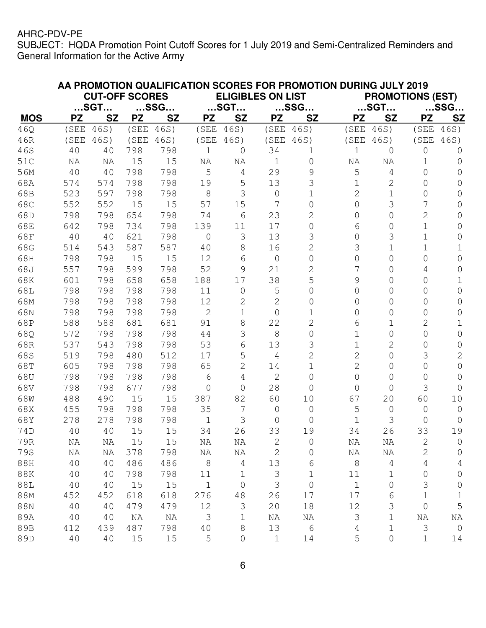|            | AA PROMOTION QUALIFICATION SCORES FOR PROMOTION DURING JULY 2019<br><b>ELIGIBLES ON LIST</b> |           |           |           |                |                |                |                | <b>PROMOTIONS (EST)</b> |                |                |                |  |
|------------|----------------------------------------------------------------------------------------------|-----------|-----------|-----------|----------------|----------------|----------------|----------------|-------------------------|----------------|----------------|----------------|--|
|            | <b>CUT-OFF SCORES</b>                                                                        |           |           |           |                |                |                |                |                         |                |                |                |  |
|            | $$ SGT $$                                                                                    |           | $$ SSG $$ |           |                | $$ SGT $$      |                | $$ SSG $$      |                         | $$ SGT $$      |                | $$ SSG $$      |  |
| <b>MOS</b> | <b>PZ</b>                                                                                    | <b>SZ</b> | <b>PZ</b> | <b>SZ</b> | <b>PZ</b>      | <b>SZ</b>      | <b>PZ</b>      | <b>SZ</b>      | <b>PZ</b>               | <b>SZ</b>      | <b>PZ</b>      | SZ             |  |
| 46Q        | (SEE                                                                                         | 46S)      | (SEE      | 46S)      | (SEE           | 46S)           | (SEE           | 46S)           | (SEE                    | 46S)           | (SEE           | 46S)           |  |
| 46R        | (SEE                                                                                         | 46S)      | (SEE      | 46S)      | (SEE)          | 46S)           | (SEE           | 46S)           | (SEE                    | 46S)           | (SEE           | 46S)           |  |
| 46S        | 40                                                                                           | 40        | 798       | 798       | $\mathbf 1$    | $\circ$        | 34             | 1              | $\mathbf 1$             | 0              | 0              | $\Omega$       |  |
| 51C        | NA                                                                                           | ΝA        | 15        | 15        | ΝA             | NA             | 1              | $\circ$        | NA                      | ΝA             | 1              | 0              |  |
| 56M        | 40                                                                                           | 40        | 798       | 798       | 5              | 4              | 29             | 9              | 5                       | 4              | 0              | $\Omega$       |  |
| 68A        | 574                                                                                          | 574       | 798       | 798       | 19             | 5              | 13             | 3              | 1                       | 2              | 0              | 0              |  |
| 68B        | 523                                                                                          | 597       | 798       | 798       | 8              | 3              | 0              | 1              | 2                       | $\mathbf 1$    | 0              | $\Omega$       |  |
| 68C        | 552                                                                                          | 552       | 15        | 15        | 57             | 15             | 7              | 0              | 0                       | 3              | 7              | 0              |  |
| 68D        | 798                                                                                          | 798       | 654       | 798       | 74             | 6              | 23             | 2              | 0                       | 0              | $\overline{2}$ | 0              |  |
| 68E        | 642                                                                                          | 798       | 734       | 798       | 139            | 11             | 17             | 0              | 6                       | 0              | $\mathbf 1$    | 0              |  |
| 68F        | 40                                                                                           | 40        | 621       | 798       | $\mathcal{O}$  | 3              | 13             | 3              | 0                       | 3              | $\overline{1}$ | 0              |  |
| 68G        | 514                                                                                          | 543       | 587       | 587       | 40             | 8              | 16             | 2              | 3                       | 1              | 1              | 1              |  |
| 68H        | 798                                                                                          | 798       | 15        | 15        | 12             | 6              | 0              | $\Omega$       | 0                       | $\circ$        | 0              | 0              |  |
| 68J        | 557                                                                                          | 798       | 599       | 798       | 52             | 9              | 21             | 2              | 7                       | 0              | 4              | 0              |  |
| 68K        | 601                                                                                          | 798       | 658       | 658       | 188            | 17             | 38             | 5              | 9                       | 0              | 0              | 1              |  |
| 68L        | 798                                                                                          | 798       | 798       | 798       | 11             | $\circ$        | 5              | 0              | 0                       | 0              | 0              | 0              |  |
| 68M        | 798                                                                                          | 798       | 798       | 798       | 12             | $\overline{2}$ | 2              | 0              | 0                       | 0              | 0              | 0              |  |
| 68N        | 798                                                                                          | 798       | 798       | 798       | $\mathbf{2}$   | $\mathbf 1$    | 0              |                | 0                       | 0              | 0              | 0              |  |
| 68P        | 588                                                                                          | 588       | 681       | 681       | 91             | 8              | 22             | 2              | 6                       | $\mathbf 1$    | 2              | 1              |  |
| 68Q        | 572                                                                                          | 798       | 798       | 798       | 44             | 3              | 8              | 0              | 1                       | 0              | 0              | 0              |  |
| 68R        | 537                                                                                          | 543       | 798       | 798       | 53             | 6              | 13             | 3              | 1                       | 2              | 0              | $\Omega$       |  |
| 68S        | 519                                                                                          | 798       | 480       | 512       | 17             | 5              | 4              | 2              | 2                       | $\circ$        | 3              | 2              |  |
| 68T        | 605                                                                                          | 798       | 798       | 798       | 65             | $\overline{2}$ | 14             | $\mathbf 1$    | $\overline{2}$          | $\circ$        | 0              | $\mathbf 0$    |  |
| 68U        | 798                                                                                          | 798       | 798       | 798       | 6              | 4              | 2              | $\Omega$       | 0                       | 0              | 0              | 0              |  |
| 68V        | 798                                                                                          | 798       | 677       | 798       | $\Omega$       | $\overline{0}$ | 28             | 0              | 0                       | 0              | 3              | $\Omega$       |  |
| 68W        | 488                                                                                          | 490       | 15        | 15        | 387            | 82             | 60             | 10             | 67                      | 20             | 60             | 10             |  |
| 68X        | 455                                                                                          | 798       | 798       | 798       | 35             | 7              | 0              | 0              | 5                       | $\circ$        | 0              | 0              |  |
| 68Y        | 278                                                                                          | 278       | 798       | 798       | 1              | 3              | 0              | ∩              | 1                       | 3              | 0              | 0              |  |
| 74D        | 40                                                                                           | 40        | 15        | 15        | 34             | 26             | 33             | 19             | 34                      | 26             | 33             | 19             |  |
| 79R        | ΝA                                                                                           | ΝA        | 15        | 15        | NA             | ΝA             | 2              | $\circ$        | ΝA                      | ΝA             | $\overline{c}$ | 0              |  |
| 79S        | ΝA                                                                                           | ΝA        | 378       | 798       | ΝA             | ΝA             | $\overline{c}$ | 0              | NA                      | NA             | $\overline{c}$ | 0              |  |
| 88H        | 40                                                                                           | 40        | 486       | 486       | $\,8\,$        | 4              | 13             | 6              | $\,8\,$                 | $\overline{4}$ | 4              | 4              |  |
| 88K        | 40                                                                                           | 40        | 798       | 798       | 11             | $\mathbf 1$    | $\mathfrak{Z}$ | 1              | 11                      | 1              | 0              | 0              |  |
| 88L        | 40                                                                                           | 40        | 15        | 15        | $\mathbf 1$    | $\circledcirc$ | 3              | $\overline{0}$ | $\mathbf 1$             | $\circ$        | 3              | $\mathbf 0$    |  |
| 88M        | 452                                                                                          | 452       | 618       | 618       | 276            | 48             | 26             | 17             | 17                      | 6              | $\mathbf 1$    | 1              |  |
| 88N        | 40                                                                                           | 40        | 479       | 479       | $12$           | 3              | 20             | 18             | 12                      | 3              | 0              | 5              |  |
| 89A        | 40                                                                                           | 40        | ΝA        | ΝA        | $\mathfrak{Z}$ | $\mathbf 1$    | NA             | ΝA             | 3                       | $\mathbf 1$    | ΝA             | NA             |  |
| 89B        | 412                                                                                          | 439       | 487       | 798       | 40             | 8              | 13             | $\sqrt{6}$     | $\overline{4}$          | $1\,$          | 3              | $\circledcirc$ |  |
| 89D        | 40                                                                                           | 40        | 15        | $15$      | $\mathsf S$    | $\circledcirc$ | $\mathbf 1$    | 14             | 5                       | 0              | $\mathbf 1$    | 14             |  |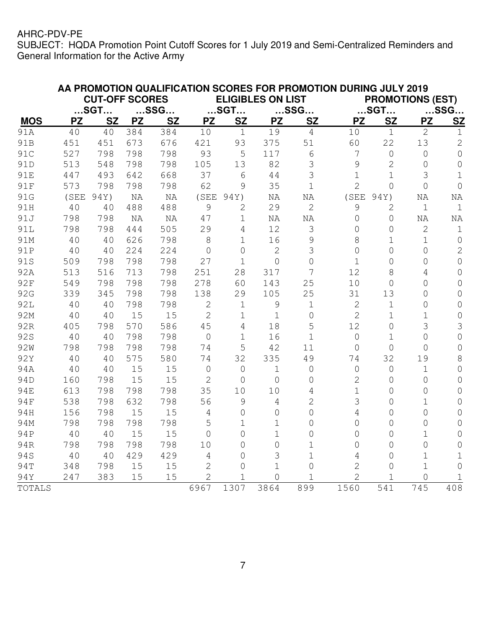|                 | AA PROMOTION QUALIFICATION SCORES FOR PROMOTION DURING JULY 2019 |                       |           |           |                |                |                          |                |                |                |                         |                |
|-----------------|------------------------------------------------------------------|-----------------------|-----------|-----------|----------------|----------------|--------------------------|----------------|----------------|----------------|-------------------------|----------------|
|                 |                                                                  | <b>CUT-OFF SCORES</b> |           |           |                |                | <b>ELIGIBLES ON LIST</b> |                |                |                | <b>PROMOTIONS (EST)</b> |                |
|                 |                                                                  | $$ SGT $$             |           | $$ SSG $$ |                | $$ SGT $$      |                          | $$ SSG $$      |                | $$ SGT $$      |                         | $$ SSG $$      |
| <b>MOS</b>      | <b>PZ</b>                                                        | <b>SZ</b>             | <b>PZ</b> | <b>SZ</b> | <b>PZ</b>      | <b>SZ</b>      | <b>PZ</b>                | <b>SZ</b>      | <b>PZ</b>      | <b>SZ</b>      | <b>PZ</b>               | <b>SZ</b>      |
| 91A             | 40                                                               | 40                    | 384       | 384       | 10             | $\mathbf{1}$   | 19                       | $\overline{4}$ | 10             | $\mathbf{1}$   | $\overline{2}$          | $\mathbf 1$    |
| 91B             | 451                                                              | 451                   | 673       | 676       | 421            | 93             | 375                      | 51             | 60             | 22             | 13                      | $\overline{2}$ |
| 91C             | 527                                                              | 798                   | 798       | 798       | 93             | 5              | 117                      | 6              | 7              | $\mathsf O$    | $\mathbf 0$             | $\overline{O}$ |
| 91D             | 513                                                              | 548                   | 798       | 798       | 105            | 13             | 82                       | 3              | 9              | $\overline{2}$ | 0                       | $\mathsf O$    |
| 91E             | 447                                                              | 493                   | 642       | 668       | 37             | 6              | 44                       | 3              | $1\,$          | $\mathbf 1$    | 3                       | $\mathbf 1$    |
| 91F             | 573                                                              | 798                   | 798       | 798       | 62             | 9              | 35                       | $\mathbf 1$    | $\overline{2}$ | $\overline{0}$ | $\overline{O}$          | $\overline{0}$ |
| 91G             | (SEE                                                             | 94Y)                  | NA        | NA        | (SEE           | 94Y)           | NA                       | NA             | (SEE           | 94Y)           | NA                      | NA             |
| 91H             | 40                                                               | 40                    | 488       | 488       | 9              | $\overline{2}$ | 29                       | $\overline{2}$ | 9              | 2              | $\mathbf 1$             | $\mathbf 1$    |
| 91J             | 798                                                              | 798                   | NA        | NA        | 47             | $\mathbf 1$    | NA                       | NA             | 0              | $\overline{0}$ | NA                      | NA             |
| 91L             | 798                                                              | 798                   | 444       | 505       | 29             | 4              | 12                       | 3              | 0              | $\overline{0}$ | $\mathbf{2}$            | $1\,$          |
| 91M             | 40                                                               | 40                    | 626       | 798       | 8              | $\mathbf 1$    | 16                       | 9              | 8              | $\mathbf 1$    | $\mathbf 1$             | $\mathsf O$    |
| 91P             | 40                                                               | 40                    | 224       | 224       | $\overline{0}$ | $\overline{O}$ | $\overline{2}$           | 3              | 0              | $\overline{0}$ | $\overline{O}$          | $\overline{2}$ |
| 91S             | 509                                                              | 798                   | 798       | 798       | 27             | $\mathbf{1}$   | $\overline{O}$           | 0              | $\mathbf 1$    | $\overline{O}$ | 0                       | $\overline{0}$ |
| 92A             | 513                                                              | 516                   | 713       | 798       | 251            | 28             | 317                      |                | 12             | 8              | 4                       | $\overline{0}$ |
| 92F             | 549                                                              | 798                   | 798       | 798       | 278            | 60             | 143                      | 25             | 10             | $\overline{O}$ | 0                       | $\overline{0}$ |
| 92G             | 339                                                              | 345                   | 798       | 798       | 138            | 29             | 105                      | 25             | 31             | 13             | 0                       | 0              |
| 92L             | 40                                                               | 40                    | 798       | 798       | $\mathbf{2}$   | $\mathbf 1$    | 9                        | 1              | $\mathbf{2}$   | $\mathbf 1$    | 0                       | $\mathbf 0$    |
| 92M             | 40                                                               | 40                    | 15        | 15        | $\overline{2}$ | $\mathbf 1$    | $\overline{1}$           | $\Omega$       | $\overline{2}$ | $\mathbf 1$    | 1                       | $\mathsf O$    |
| 92R             | 405                                                              | 798                   | 570       | 586       | 45             | 4              | 18                       | 5              | 12             | $\overline{0}$ | 3                       | 3              |
| 92S             | 40                                                               | 40                    | 798       | 798       | $\overline{0}$ | $\mathbf 1$    | 16                       | 1              | 0              | $\mathbf 1$    | 0                       | $\overline{0}$ |
| 92 <sub>W</sub> | 798                                                              | 798                   | 798       | 798       | 74             | 5              | 42                       | 11             | 0              | $\overline{O}$ | $\Omega$                | $\mathbf 0$    |
| 92Y             | 40                                                               | 40                    | 575       | 580       | 74             | 32             | 335                      | 49             | 74             | 32             | 19                      | 8              |
| 94A             | 40                                                               | 40                    | 15        | 15        | $\overline{0}$ | $\overline{0}$ | $\mathbf 1$              | $\overline{0}$ | 0              | $\overline{O}$ | $\mathbf 1$             | $\overline{O}$ |
| 94D             | 160                                                              | 798                   | 15        | 15        | $\mathbf{2}$   | $\overline{0}$ | $\overline{O}$           | $\bigcap$      | $\overline{2}$ | $\overline{O}$ | $\overline{0}$          | 0              |
| <b>94E</b>      | 613                                                              | 798                   | 798       | 798       | 35             | 10             | 10                       | 4              | 1              | 0              | $\Omega$                | 0              |
| 94F             | 538                                                              | 798                   | 632       | 798       | 56             | 9              | 4                        | 2              | 3              | $\overline{O}$ | $\mathbf{1}$            | 0              |
| 94H             | 156                                                              | 798                   | 15        | 15        | $\overline{4}$ | $\overline{O}$ | $\overline{O}$           | 0              | 4              | $\overline{O}$ | $\overline{O}$          | 0              |
| 94M             | 798                                                              | 798                   | 798       | 798       | 5              | $\mathbf 1$    | $\mathbf 1$              | 0              | 0              | $\circ$        | $\Omega$                | $\mathbf 0$    |
| 94P             | 40                                                               | 40                    | 15        | 15        | $\overline{O}$ | $\overline{O}$ | $\mathbf 1$              | 0              | 0              | 0              | 1                       | 0              |
| 94R             | 798                                                              | 798                   | 798       | 798       | 10             | $\overline{O}$ | $\overline{0}$           | 1              | 0              | $\overline{O}$ | $\overline{O}$          | $\overline{0}$ |
| 94S             | 40                                                               | 40                    | 429       | 429       | $\overline{4}$ | $\overline{O}$ | 3                        | $\mathbf 1$    | 4              | 0              | 1                       | $\mathbf 1$    |
| 94T             | 348                                                              | 798                   | 15        | 15        | $\overline{2}$ | $\mathsf{O}$   | $\mathbf{1}$             | 0              | $\overline{2}$ | 0              | $\overline{1}$          | $\mathsf{O}$   |
| 94Y             | 247                                                              | 383                   | 15        | 15        | $\overline{2}$ | 1              | $\overline{0}$           |                | $\overline{2}$ | 1              | $\overline{O}$          | 1              |
| TOTALS          |                                                                  |                       |           |           | 6967           | 1307           | 3864                     | 899            | 1560           | 541            | 745                     | 408            |